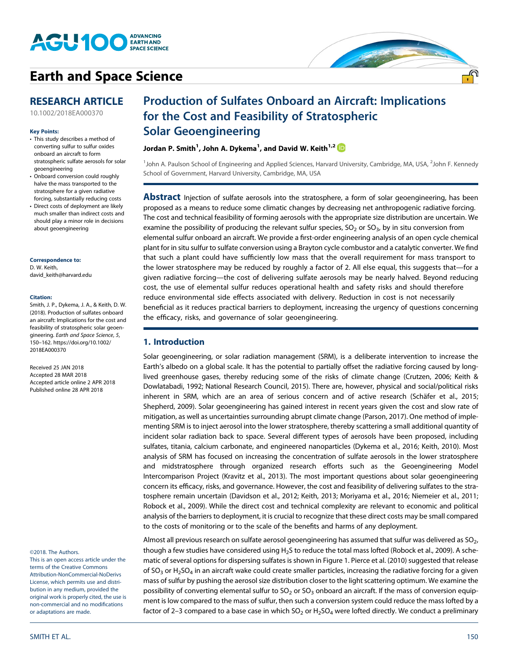

# **[Earth and Space Science](http://onlinelibrary.wiley.com/journal/10.1002/(ISSN)2333-5084)**

## **RESEARCH ARTICLE**

[10.1002/2018EA000370](http://dx.doi.org/10.1002/2018EA000370)

#### **Key Points:**

- This study describes a method of converting sulfur to sulfur oxides onboard an aircraft to form stratospheric sulfate aerosols for solar geoengineering
- Onboard conversion could roughly halve the mass transported to the stratosphere for a given radiative forcing, substantially reducing costs
- Direct costs of deployment are likely much smaller than indirect costs and should play a minor role in decisions about geoengineering

#### **Correspondence to:**

D. W. Keith, [david\\_keith@harvard.edu](mailto:david_keith@harvard.edu)

#### **Citation:**

Smith, J. P., Dykema, J. A., & Keith, D. W. (2018). Production of sulfates onboard an aircraft: Implications for the cost and feasibility of stratospheric solar geoengineering. *Earth and Space Science*, *5*, 150–162. [https://doi.org/10.1002/](https://doi.org/10.1002/2018EA000370) [2018EA000370](https://doi.org/10.1002/2018EA000370)

Received 25 JAN 2018 Accepted 28 MAR 2018 Accepted article online 2 APR 2018 Published online 28 APR 2018

#### ©2018. The Authors.

This is an open access article under the terms of the Creative Commons Attribution-NonCommercial-NoDerivs License, which permits use and distribution in any medium, provided the original work is properly cited, the use is non-commercial and no modifications or adaptations are made.

## Production of Sulfates Onboard an Aircraft: Implications for the Cost and Feasibility of Stratospheric Solar Geoengineering

Jordan P. Smith<sup>1</sup>, John A. Dykema<sup>1</sup>, and David W. Keith<sup>1,2</sup>

<sup>1</sup>John A. Paulson School of Engineering and Applied Sciences, Harvard University, Cambridge, MA, USA, <sup>2</sup>John F. Kennedy School of Government, Harvard University, Cambridge, MA, USA

**Abstract** Injection of sulfate aerosols into the stratosphere, a form of solar geoengineering, has been proposed as a means to reduce some climatic changes by decreasing net anthropogenic radiative forcing. The cost and technical feasibility of forming aerosols with the appropriate size distribution are uncertain. We examine the possibility of producing the relevant sulfur species,  $SO_2$  or  $SO_3$ , by in situ conversion from elemental sulfur onboard an aircraft. We provide a first-order engineering analysis of an open cycle chemical plant for in situ sulfur to sulfate conversion using a Brayton cycle combustor and a catalytic converter. We find that such a plant could have sufficiently low mass that the overall requirement for mass transport to the lower stratosphere may be reduced by roughly a factor of 2. All else equal, this suggests that—for a given radiative forcing—the cost of delivering sulfate aerosols may be nearly halved. Beyond reducing cost, the use of elemental sulfur reduces operational health and safety risks and should therefore reduce environmental side effects associated with delivery. Reduction in cost is not necessarily beneficial as it reduces practical barriers to deployment, increasing the urgency of questions concerning the efficacy, risks, and governance of solar geoengineering.

## **1. Introduction**

Solar geoengineering, or solar radiation management (SRM), is a deliberate intervention to increase the Earth's albedo on a global scale. It has the potential to partially offset the radiative forcing caused by longlived greenhouse gases, thereby reducing some of the risks of climate change (Crutzen, 2006; Keith & Dowlatabadi, 1992; National Research Council, 2015). There are, however, physical and social/political risks inherent in SRM, which are an area of serious concern and of active research (Schäfer et al., 2015; Shepherd, 2009). Solar geoengineering has gained interest in recent years given the cost and slow rate of mitigation, as well as uncertainties surrounding abrupt climate change (Parson, 2017). One method of implementing SRM is to inject aerosol into the lower stratosphere, thereby scattering a small additional quantity of incident solar radiation back to space. Several different types of aerosols have been proposed, including sulfates, titania, calcium carbonate, and engineered nanoparticles (Dykema et al., 2016; Keith, 2010). Most analysis of SRM has focused on increasing the concentration of sulfate aerosols in the lower stratosphere and midstratosphere through organized research efforts such as the Geoengineering Model Intercomparison Project (Kravitz et al., 2013). The most important questions about solar geoengineering concern its efficacy, risks, and governance. However, the cost and feasibility of delivering sulfates to the stratosphere remain uncertain (Davidson et al., 2012; Keith, 2013; Moriyama et al., 2016; Niemeier et al., 2011; Robock et al., 2009). While the direct cost and technical complexity are relevant to economic and political analysis of the barriers to deployment, it is crucial to recognize that these direct costs may be small compared to the costs of monitoring or to the scale of the benefits and harms of any deployment.

Almost all previous research on sulfate aerosol geoengineering has assumed that sulfur was delivered as  $SO<sub>2</sub>$ , though a few studies have considered using H<sub>2</sub>S to reduce the total mass lofted (Robock et al., 2009). A schematic of several options for dispersing sulfates is shown in Figure 1. Pierce et al. (2010) suggested that release of SO<sub>3</sub> or H<sub>2</sub>SO<sub>4</sub> in an aircraft wake could create smaller particles, increasing the radiative forcing for a given mass of sulfur by pushing the aerosol size distribution closer to the light scattering optimum. We examine the possibility of converting elemental sulfur to  $SO_2$  or  $SO_3$  onboard an aircraft. If the mass of conversion equipment is low compared to the mass of sulfur, then such a conversion system could reduce the mass lofted by a factor of 2-3 compared to a base case in which  $SO_2$  or  $H_2SO_4$  were lofted directly. We conduct a preliminary

.<br>1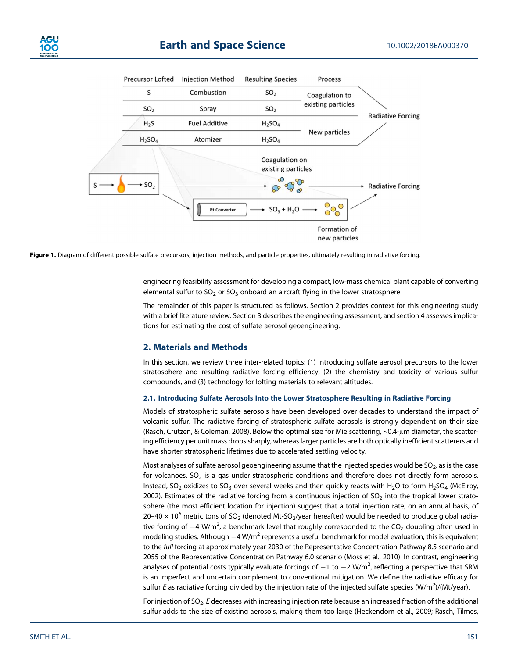



Figure 1. Diagram of different possible sulfate precursors, injection methods, and particle properties, ultimately resulting in radiative forcing.

engineering feasibility assessment for developing a compact, low-mass chemical plant capable of converting elemental sulfur to  $SO_2$  or  $SO_3$  onboard an aircraft flying in the lower stratosphere.

The remainder of this paper is structured as follows. Section 2 provides context for this engineering study with a brief literature review. Section 3 describes the engineering assessment, and section 4 assesses implications for estimating the cost of sulfate aerosol geoengineering.

## **2. Materials and Methods**

In this section, we review three inter-related topics: (1) introducing sulfate aerosol precursors to the lower stratosphere and resulting radiative forcing efficiency, (2) the chemistry and toxicity of various sulfur compounds, and (3) technology for lofting materials to relevant altitudes.

#### **2.1. Introducing Sulfate Aerosols Into the Lower Stratosphere Resulting in Radiative Forcing**

Models of stratospheric sulfate aerosols have been developed over decades to understand the impact of volcanic sulfur. The radiative forcing of stratospheric sulfate aerosols is strongly dependent on their size (Rasch, Crutzen, & Coleman, 2008). Below the optimal size for Mie scattering, ~0.4-μm diameter, the scattering efficiency per unit mass drops sharply, whereas larger particles are both optically inefficient scatterers and have shorter stratospheric lifetimes due to accelerated settling velocity.

Most analyses of sulfate aerosol geoengineering assume that the injected species would be  $SO_2$ , as is the case for volcanoes.  $SO<sub>2</sub>$  is a gas under stratospheric conditions and therefore does not directly form aerosols. Instead, SO<sub>2</sub> oxidizes to SO<sub>3</sub> over several weeks and then quickly reacts with H<sub>2</sub>O to form H<sub>2</sub>SO<sub>4</sub> (McElroy, 2002). Estimates of the radiative forcing from a continuous injection of  $SO<sub>2</sub>$  into the tropical lower stratosphere (the most efficient location for injection) suggest that a total injection rate, on an annual basis, of  $20-40 \times 10^6$  metric tons of SO<sub>2</sub> (denoted Mt-SO<sub>2</sub>/year hereafter) would be needed to produce global radiative forcing of  $-4$  W/m<sup>2</sup>, a benchmark level that roughly corresponded to the CO<sub>2</sub> doubling often used in modeling studies. Although  $-4$  W/m<sup>2</sup> represents a useful benchmark for model evaluation, this is equivalent to the *full* forcing at approximately year 2030 of the Representative Concentration Pathway 8.5 scenario and 2055 of the Representative Concentration Pathway 6.0 scenario (Moss et al., 2010). In contrast, engineering analyses of potential costs typically evaluate forcings of  $-1$  to  $-2$  W/m<sup>2</sup>, reflecting a perspective that SRM is an imperfect and uncertain complement to conventional mitigation. We define the radiative efficacy for sulfur *E* as radiative forcing divided by the injection rate of the injected sulfate species (W/m<sup>2</sup>)/(Mt/year).

For injection of SO<sub>2</sub>, *E* decreases with increasing injection rate because an increased fraction of the additional sulfur adds to the size of existing aerosols, making them too large (Heckendorn et al., 2009; Rasch, Tilmes,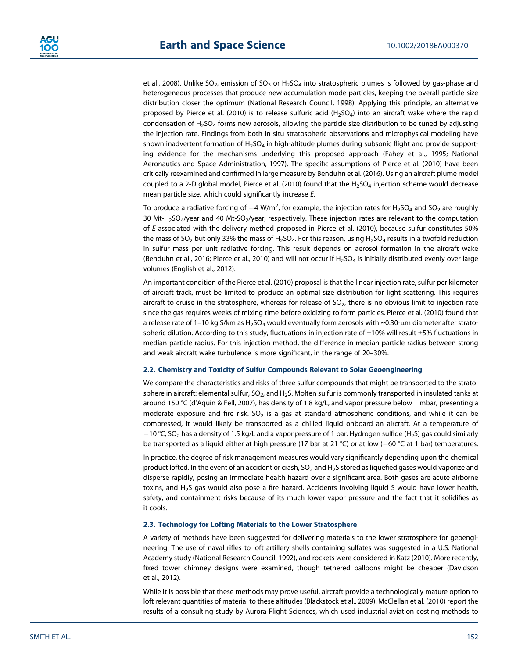et al., 2008). Unlike SO<sub>2</sub>, emission of SO<sub>3</sub> or H<sub>2</sub>SO<sub>4</sub> into stratospheric plumes is followed by gas-phase and heterogeneous processes that produce new accumulation mode particles, keeping the overall particle size distribution closer the optimum (National Research Council, 1998). Applying this principle, an alternative proposed by Pierce et al. (2010) is to release sulfuric acid  $(H_2SO_4)$  into an aircraft wake where the rapid condensation of  $H_2$ SO<sub>4</sub> forms new aerosols, allowing the particle size distribution to be tuned by adjusting the injection rate. Findings from both in situ stratospheric observations and microphysical modeling have shown inadvertent formation of  $H_2SO_4$  in high-altitude plumes during subsonic flight and provide supporting evidence for the mechanisms underlying this proposed approach (Fahey et al., 1995; National Aeronautics and Space Administration, 1997). The specific assumptions of Pierce et al. (2010) have been critically reexamined and confirmed in large measure by Benduhn et al. (2016). Using an aircraft plume model coupled to a 2-D global model, Pierce et al. (2010) found that the  $H_2SO_4$  injection scheme would decrease mean particle size, which could significantly increase *E*.

To produce a radiative forcing of  $-4$  W/m<sup>2</sup>, for example, the injection rates for H<sub>2</sub>SO<sub>4</sub> and SO<sub>2</sub> are roughly 30 Mt-H<sub>2</sub>SO<sub>4</sub>/year and 40 Mt-SO<sub>2</sub>/year, respectively. These injection rates are relevant to the computation of *E* associated with the delivery method proposed in Pierce et al. (2010), because sulfur constitutes 50% the mass of SO<sub>2</sub> but only 33% the mass of H<sub>2</sub>SO<sub>4</sub>. For this reason, using H<sub>2</sub>SO<sub>4</sub> results in a twofold reduction in sulfur mass per unit radiative forcing. This result depends on aerosol formation in the aircraft wake (Benduhn et al., 2016; Pierce et al., 2010) and will not occur if  $H_2SO_4$  is initially distributed evenly over large volumes (English et al., 2012).

An important condition of the Pierce et al. (2010) proposal is that the linear injection rate, sulfur per kilometer of aircraft track, must be limited to produce an optimal size distribution for light scattering. This requires aircraft to cruise in the stratosphere, whereas for release of  $SO<sub>2</sub>$ , there is no obvious limit to injection rate since the gas requires weeks of mixing time before oxidizing to form particles. Pierce et al. (2010) found that a release rate of 1–10 kg S/km as  $H_2SO_4$  would eventually form aerosols with ~0.30-µm diameter after stratospheric dilution. According to this study, fluctuations in injection rate of  $\pm 10\%$  will result  $\pm 5\%$  fluctuations in median particle radius. For this injection method, the difference in median particle radius between strong and weak aircraft wake turbulence is more significant, in the range of 20–30%.

### **2.2. Chemistry and Toxicity of Sulfur Compounds Relevant to Solar Geoengineering**

We compare the characteristics and risks of three sulfur compounds that might be transported to the stratosphere in aircraft: elemental sulfur,  $SO_2$ , and H<sub>2</sub>S. Molten sulfur is commonly transported in insulated tanks at around 150 °C (d'Aquin & Fell, 2007), has density of 1.8 kg/L, and vapor pressure below 1 mbar, presenting a moderate exposure and fire risk.  $SO<sub>2</sub>$  is a gas at standard atmospheric conditions, and while it can be compressed, it would likely be transported as a chilled liquid onboard an aircraft. At a temperature of  $-10$  °C, SO<sub>2</sub> has a density of 1.5 kg/L and a vapor pressure of 1 bar. Hydrogen sulfide (H<sub>2</sub>S) gas could similarly be transported as a liquid either at high pressure (17 bar at 21 °C) or at low (-60 °C at 1 bar) temperatures.

In practice, the degree of risk management measures would vary significantly depending upon the chemical product lofted. In the event of an accident or crash, SO<sub>2</sub> and H<sub>2</sub>S stored as liquefied gases would vaporize and disperse rapidly, posing an immediate health hazard over a significant area. Both gases are acute airborne toxins, and H2S gas would also pose a fire hazard. Accidents involving liquid S would have lower health, safety, and containment risks because of its much lower vapor pressure and the fact that it solidifies as it cools.

#### **2.3. Technology for Lofting Materials to the Lower Stratosphere**

A variety of methods have been suggested for delivering materials to the lower stratosphere for geoengineering. The use of naval rifles to loft artillery shells containing sulfates was suggested in a U.S. National Academy study (National Research Council, 1992), and rockets were considered in Katz (2010). More recently, fixed tower chimney designs were examined, though tethered balloons might be cheaper (Davidson et al., 2012).

While it is possible that these methods may prove useful, aircraft provide a technologically mature option to loft relevant quantities of material to these altitudes (Blackstock et al., 2009). McClellan et al. (2010) report the results of a consulting study by Aurora Flight Sciences, which used industrial aviation costing methods to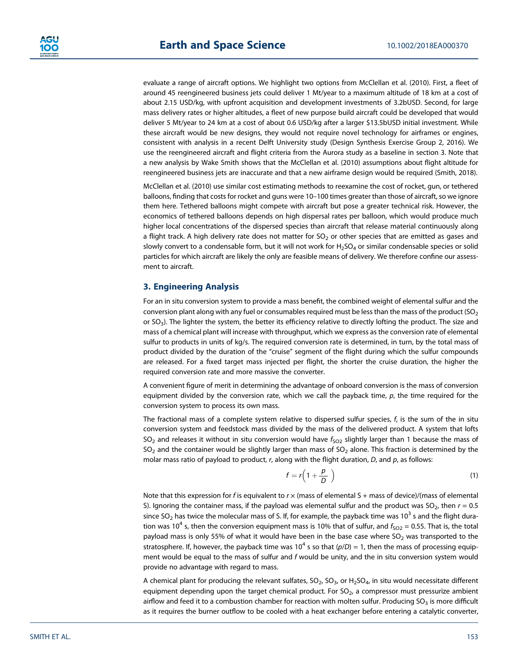evaluate a range of aircraft options. We highlight two options from McClellan et al. (2010). First, a fleet of around 45 reengineered business jets could deliver 1 Mt/year to a maximum altitude of 18 km at a cost of about 2.15 USD/kg, with upfront acquisition and development investments of 3.2bUSD. Second, for large mass delivery rates or higher altitudes, a fleet of new purpose build aircraft could be developed that would deliver 5 Mt/year to 24 km at a cost of about 0.6 USD/kg after a larger \$13.5bUSD initial investment. While these aircraft would be new designs, they would not require novel technology for airframes or engines, consistent with analysis in a recent Delft University study (Design Synthesis Exercise Group 2, 2016). We use the reengineered aircraft and flight criteria from the Aurora study as a baseline in section 3. Note that a new analysis by Wake Smith shows that the McClellan et al. (2010) assumptions about flight altitude for reengineered business jets are inaccurate and that a new airframe design would be required (Smith, 2018).

McClellan et al. (2010) use similar cost estimating methods to reexamine the cost of rocket, gun, or tethered balloons, finding that costs for rocket and guns were 10–100 times greater than those of aircraft, so we ignore them here. Tethered balloons might compete with aircraft but pose a greater technical risk. However, the economics of tethered balloons depends on high dispersal rates per balloon, which would produce much higher local concentrations of the dispersed species than aircraft that release material continuously along a flight track. A high delivery rate does not matter for  $SO<sub>2</sub>$  or other species that are emitted as gases and slowly convert to a condensable form, but it will not work for  $H_2SO_4$  or similar condensable species or solid particles for which aircraft are likely the only are feasible means of delivery. We therefore confine our assessment to aircraft.

## **3. Engineering Analysis**

For an in situ conversion system to provide a mass benefit, the combined weight of elemental sulfur and the conversion plant along with any fuel or consumables required must be less than the mass of the product ( $SO<sub>2</sub>$ or  $SO<sub>3</sub>$ ). The lighter the system, the better its efficiency relative to directly lofting the product. The size and mass of a chemical plant will increase with throughput, which we express as the conversion rate of elemental sulfur to products in units of kg/s. The required conversion rate is determined, in turn, by the total mass of product divided by the duration of the "cruise" segment of the flight during which the sulfur compounds are released. For a fixed target mass injected per flight, the shorter the cruise duration, the higher the required conversion rate and more massive the converter.

A convenient figure of merit in determining the advantage of onboard conversion is the mass of conversion equipment divided by the conversion rate, which we call the payback time, *p*, the time required for the conversion system to process its own mass.

The fractional mass of a complete system relative to dispersed sulfur species, *f*, is the sum of the in situ conversion system and feedstock mass divided by the mass of the delivered product. A system that lofts SO<sub>2</sub> and releases it without in situ conversion would have  $f_{SO2}$  slightly larger than 1 because the mass of  $SO_2$  and the container would be slightly larger than mass of  $SO_2$  alone. This fraction is determined by the molar mass ratio of payload to product, *r*, along with the flight duration, *D*, and *p*, as follows:

$$
f = r \left( 1 + \frac{p}{D} \right) \tag{1}
$$

Note that this expression for *f* is equivalent to  $r \times$  (mass of elemental S + mass of device)/(mass of elemental S). Ignoring the container mass, if the payload was elemental sulfur and the product was  $SO_2$ , then  $r = 0.5$ since SO<sub>2</sub> has twice the molecular mass of S. If, for example, the payback time was  $10^3$  s and the flight duration was 10<sup>4</sup> s, then the conversion equipment mass is 10% that of sulfur, and  $f_{SO2} = 0.55$ . That is, the total payload mass is only 55% of what it would have been in the base case where  $SO<sub>2</sub>$  was transported to the stratosphere. If, however, the payback time was  $10^4$  s so that  $(p/D) = 1$ , then the mass of processing equipment would be equal to the mass of sulfur and *f* would be unity, and the in situ conversion system would provide no advantage with regard to mass.

A chemical plant for producing the relevant sulfates,  $SO_2$ ,  $SO_3$ , or H<sub>2</sub>SO<sub>4</sub>, in situ would necessitate different equipment depending upon the target chemical product. For  $SO<sub>2</sub>$ , a compressor must pressurize ambient airflow and feed it to a combustion chamber for reaction with molten sulfur. Producing  $SO<sub>3</sub>$  is more difficult as it requires the burner outflow to be cooled with a heat exchanger before entering a catalytic converter,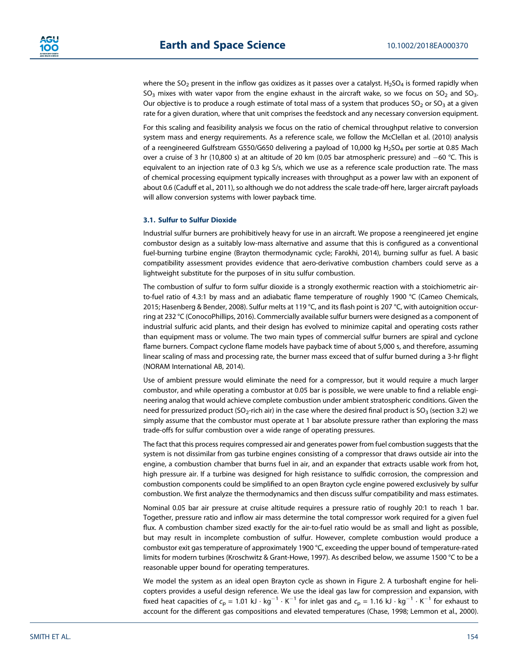where the  $SO_2$  present in the inflow gas oxidizes as it passes over a catalyst. H<sub>2</sub>SO<sub>4</sub> is formed rapidly when  $SO<sub>3</sub>$  mixes with water vapor from the engine exhaust in the aircraft wake, so we focus on SO<sub>2</sub> and SO<sub>3</sub>. Our objective is to produce a rough estimate of total mass of a system that produces  $SO_2$  or  $SO_3$  at a given rate for a given duration, where that unit comprises the feedstock and any necessary conversion equipment.

For this scaling and feasibility analysis we focus on the ratio of chemical throughput relative to conversion system mass and energy requirements. As a reference scale, we follow the McClellan et al. (2010) analysis of a reengineered Gulfstream G550/G650 delivering a payload of 10,000 kg H<sub>2</sub>SO<sub>4</sub> per sortie at 0.85 Mach over a cruise of 3 hr (10,800 s) at an altitude of 20 km (0.05 bar atmospheric pressure) and  $-60$  °C. This is equivalent to an injection rate of 0.3 kg S/s, which we use as a reference scale production rate. The mass of chemical processing equipment typically increases with throughput as a power law with an exponent of about 0.6 (Caduff et al., 2011), so although we do not address the scale trade-off here, larger aircraft payloads will allow conversion systems with lower payback time.

### **3.1. Sulfur to Sulfur Dioxide**

Industrial sulfur burners are prohibitively heavy for use in an aircraft. We propose a reengineered jet engine combustor design as a suitably low-mass alternative and assume that this is configured as a conventional fuel-burning turbine engine (Brayton thermodynamic cycle; Farokhi, 2014), burning sulfur as fuel. A basic compatibility assessment provides evidence that aero-derivative combustion chambers could serve as a lightweight substitute for the purposes of in situ sulfur combustion.

The combustion of sulfur to form sulfur dioxide is a strongly exothermic reaction with a stoichiometric airto-fuel ratio of 4.3:1 by mass and an adiabatic flame temperature of roughly 1900 °C (Cameo Chemicals, 2015; Hasenberg & Bender, 2008). Sulfur melts at 119 °C, and its flash point is 207 °C, with autoignition occurring at 232 °C (ConocoPhillips, 2016). Commercially available sulfur burners were designed as a component of industrial sulfuric acid plants, and their design has evolved to minimize capital and operating costs rather than equipment mass or volume. The two main types of commercial sulfur burners are spiral and cyclone flame burners. Compact cyclone flame models have payback time of about 5,000 s, and therefore, assuming linear scaling of mass and processing rate, the burner mass exceed that of sulfur burned during a 3-hr flight (NORAM International AB, 2014).

Use of ambient pressure would eliminate the need for a compressor, but it would require a much larger combustor, and while operating a combustor at 0.05 bar is possible, we were unable to find a reliable engineering analog that would achieve complete combustion under ambient stratospheric conditions. Given the need for pressurized product (SO<sub>2</sub>-rich air) in the case where the desired final product is SO<sub>3</sub> (section 3.2) we simply assume that the combustor must operate at 1 bar absolute pressure rather than exploring the mass trade-offs for sulfur combustion over a wide range of operating pressures.

The fact that this process requires compressed air and generates power from fuel combustion suggests that the system is not dissimilar from gas turbine engines consisting of a compressor that draws outside air into the engine, a combustion chamber that burns fuel in air, and an expander that extracts usable work from hot, high pressure air. If a turbine was designed for high resistance to sulfidic corrosion, the compression and combustion components could be simplified to an open Brayton cycle engine powered exclusively by sulfur combustion. We first analyze the thermodynamics and then discuss sulfur compatibility and mass estimates.

Nominal 0.05 bar air pressure at cruise altitude requires a pressure ratio of roughly 20:1 to reach 1 bar. Together, pressure ratio and inflow air mass determine the total compressor work required for a given fuel flux. A combustion chamber sized exactly for the air-to-fuel ratio would be as small and light as possible, but may result in incomplete combustion of sulfur. However, complete combustion would produce a combustor exit gas temperature of approximately 1900 °C, exceeding the upper bound of temperature-rated limits for modern turbines (Kroschwitz & Grant-Howe, 1997). As described below, we assume 1500 °C to be a reasonable upper bound for operating temperatures.

We model the system as an ideal open Brayton cycle as shown in Figure 2. A turboshaft engine for helicopters provides a useful design reference. We use the ideal gas law for compression and expansion, with fixed heat capacities of  $c_p = 1.01 \text{ kJ} \cdot \text{kg}^{-1} \cdot \text{K}^{-1}$  for inlet gas and  $c_p = 1.16 \text{ kJ} \cdot \text{kg}^{-1} \cdot \text{K}^{-1}$  for exhaust to account for the different gas compositions and elevated temperatures (Chase, 1998; Lemmon et al., 2000).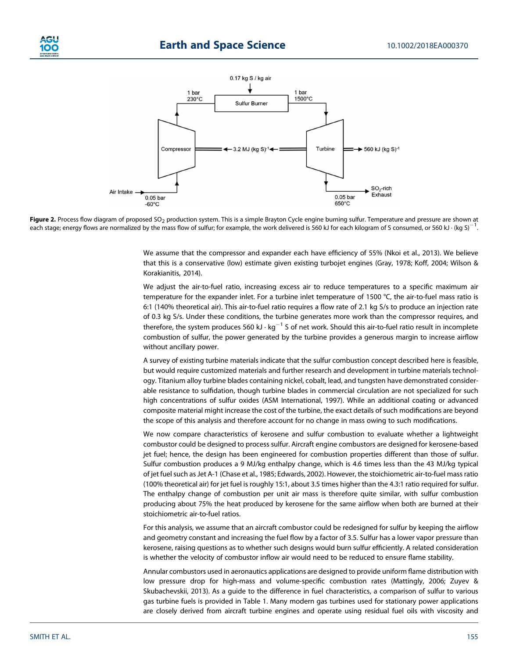



Figure 2. Process flow diagram of proposed SO<sub>2</sub> production system. This is a simple Brayton Cycle engine burning sulfur. Temperature and pressure are shown at each stage; energy flows are normalized by the mass flow of sulfur; for example, the work delivered is 560 kJ for each kilogram of S consumed, or 560 kJ · (kg S)<sup>-</sup> .

We assume that the compressor and expander each have efficiency of 55% (Nkoi et al., 2013). We believe that this is a conservative (low) estimate given existing turbojet engines (Gray, 1978; Koff, 2004; Wilson & Korakianitis, 2014).

We adjust the air-to-fuel ratio, increasing excess air to reduce temperatures to a specific maximum air temperature for the expander inlet. For a turbine inlet temperature of 1500 °C, the air-to-fuel mass ratio is 6:1 (140% theoretical air). This air-to-fuel ratio requires a flow rate of 2.1 kg S/s to produce an injection rate of 0.3 kg S/s. Under these conditions, the turbine generates more work than the compressor requires, and therefore, the system produces 560 kJ  $\cdot$  kg<sup>-1</sup> S of net work. Should this air-to-fuel ratio result in incomplete combustion of sulfur, the power generated by the turbine provides a generous margin to increase airflow without ancillary power.

A survey of existing turbine materials indicate that the sulfur combustion concept described here is feasible, but would require customized materials and further research and development in turbine materials technology. Titanium alloy turbine blades containing nickel, cobalt, lead, and tungsten have demonstrated considerable resistance to sulfidation, though turbine blades in commercial circulation are not specialized for such high concentrations of sulfur oxides (ASM International, 1997). While an additional coating or advanced composite material might increase the cost of the turbine, the exact details of such modifications are beyond the scope of this analysis and therefore account for no change in mass owing to such modifications.

We now compare characteristics of kerosene and sulfur combustion to evaluate whether a lightweight combustor could be designed to process sulfur. Aircraft engine combustors are designed for kerosene-based jet fuel; hence, the design has been engineered for combustion properties different than those of sulfur. Sulfur combustion produces a 9 MJ/kg enthalpy change, which is 4.6 times less than the 43 MJ/kg typical of jet fuel such as Jet A-1 (Chase et al., 1985; Edwards, 2002). However, the stoichiometric air-to-fuel mass ratio (100% theoretical air) for jet fuel is roughly 15:1, about 3.5 times higher than the 4.3:1 ratio required for sulfur. The enthalpy change of combustion per unit air mass is therefore quite similar, with sulfur combustion producing about 75% the heat produced by kerosene for the same airflow when both are burned at their stoichiometric air-to-fuel ratios.

For this analysis, we assume that an aircraft combustor could be redesigned for sulfur by keeping the airflow and geometry constant and increasing the fuel flow by a factor of 3.5. Sulfur has a lower vapor pressure than kerosene, raising questions as to whether such designs would burn sulfur efficiently. A related consideration is whether the velocity of combustor inflow air would need to be reduced to ensure flame stability.

Annular combustors used in aeronautics applications are designed to provide uniform flame distribution with low pressure drop for high-mass and volume-specific combustion rates (Mattingly, 2006; Zuyev & Skubachevskii, 2013). As a guide to the difference in fuel characteristics, a comparison of sulfur to various gas turbine fuels is provided in Table 1. Many modern gas turbines used for stationary power applications are closely derived from aircraft turbine engines and operate using residual fuel oils with viscosity and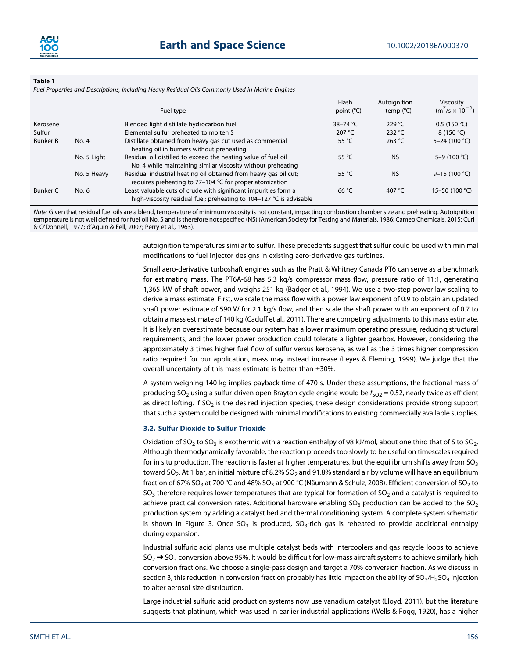

#### **Table 1**

*Fuel Properties and Descriptions, Including Heavy Residual Oils Commonly Used in Marine Engines*

|                 |             | Fuel type                                                                                                                              | Flash<br>point (°C) | Autoignition<br>temp $(^{\circ}C)$ | Viscosity<br>$(m^2/s \times 10^{-5})$ |
|-----------------|-------------|----------------------------------------------------------------------------------------------------------------------------------------|---------------------|------------------------------------|---------------------------------------|
| Kerosene        |             | Blended light distillate hydrocarbon fuel                                                                                              | 38-74 °C            | 229 °C                             | 0.5(150 °C)                           |
| Sulfur          |             | Elemental sulfur preheated to molten S                                                                                                 | 207 $°C$            | 232 °C                             | 8 $(150 °C)$                          |
| <b>Bunker B</b> | No. 4       | Distillate obtained from heavy gas cut used as commercial<br>heating oil in burners without preheating                                 | 55 °C               | 263 $°C$                           | 5-24 (100 °C)                         |
|                 | No. 5 Light | Residual oil distilled to exceed the heating value of fuel oil<br>No. 4 while maintaining similar viscosity without preheating         | 55 $\degree$ C      | <b>NS</b>                          | 5-9 (100 °C)                          |
|                 | No. 5 Heavy | Residual industrial heating oil obtained from heavy gas oil cut;<br>requires preheating to 77–104 °C for proper atomization            | 55 °C               | <b>NS</b>                          | 9-15 (100 °C)                         |
| <b>Bunker C</b> | No. 6       | Least valuable cuts of crude with significant impurities form a<br>high-viscosity residual fuel; preheating to 104–127 °C is advisable | $66^{\circ}$ C      | 407 °C                             | 15-50 (100 °C)                        |

*Note*. Given that residual fuel oils are a blend, temperature of minimum viscosity is not constant, impacting combustion chamber size and preheating. Autoignition temperature is not well defined for fuel oil No. 5 and is therefore not specified (NS) (American Society for Testing and Materials, 1986; Cameo Chemicals, 2015; Curl & O'Donnell, 1977; d'Aquin & Fell, 2007; Perry et al., 1963).

> autoignition temperatures similar to sulfur. These precedents suggest that sulfur could be used with minimal modifications to fuel injector designs in existing aero-derivative gas turbines.

> Small aero-derivative turboshaft engines such as the Pratt & Whitney Canada PT6 can serve as a benchmark for estimating mass. The PT6A-68 has 5.3 kg/s compressor mass flow, pressure ratio of 11:1, generating 1,365 kW of shaft power, and weighs 251 kg (Badger et al., 1994). We use a two-step power law scaling to derive a mass estimate. First, we scale the mass flow with a power law exponent of 0.9 to obtain an updated shaft power estimate of 590 W for 2.1 kg/s flow, and then scale the shaft power with an exponent of 0.7 to obtain a mass estimate of 140 kg (Caduff et al., 2011). There are competing adjustments to this mass estimate. It is likely an overestimate because our system has a lower maximum operating pressure, reducing structural requirements, and the lower power production could tolerate a lighter gearbox. However, considering the approximately 3 times higher fuel flow of sulfur versus kerosene, as well as the 3 times higher compression ratio required for our application, mass may instead increase (Leyes & Fleming, 1999). We judge that the overall uncertainty of this mass estimate is better than ±30%.

> A system weighing 140 kg implies payback time of 470 s. Under these assumptions, the fractional mass of producing SO<sub>2</sub> using a sulfur-driven open Brayton cycle engine would be  $f_{SO2} = 0.52$ , nearly twice as efficient as direct lofting. If SO<sub>2</sub> is the desired injection species, these design considerations provide strong support that such a system could be designed with minimal modifications to existing commercially available supplies.

#### **3.2. Sulfur Dioxide to Sulfur Trioxide**

Oxidation of SO<sub>2</sub> to SO<sub>3</sub> is exothermic with a reaction enthalpy of 98 kJ/mol, about one third that of S to SO<sub>2</sub>. Although thermodynamically favorable, the reaction proceeds too slowly to be useful on timescales required for in situ production. The reaction is faster at higher temperatures, but the equilibrium shifts away from  $SO<sub>3</sub>$ toward SO<sub>2</sub>. At 1 bar, an initial mixture of 8.2% SO<sub>2</sub> and 91.8% standard air by volume will have an equilibrium fraction of 67% SO<sub>3</sub> at 700 °C and 48% SO<sub>3</sub> at 900 °C (Näumann & Schulz, 2008). Efficient conversion of SO<sub>2</sub> to  $SO<sub>3</sub>$  therefore requires lower temperatures that are typical for formation of  $SO<sub>2</sub>$  and a catalyst is required to achieve practical conversion rates. Additional hardware enabling  $SO_3$  production can be added to the  $SO_2$ production system by adding a catalyst bed and thermal conditioning system. A complete system schematic is shown in Figure 3. Once  $SO_3$  is produced,  $SO_3$ -rich gas is reheated to provide additional enthalpy during expansion.

Industrial sulfuric acid plants use multiple catalyst beds with intercoolers and gas recycle loops to achieve SO<sub>2</sub>  $\rightarrow$  SO<sub>3</sub> conversion above 95%. It would be difficult for low-mass aircraft systems to achieve similarly high conversion fractions. We choose a single-pass design and target a 70% conversion fraction. As we discuss in section 3, this reduction in conversion fraction probably has little impact on the ability of  $SO_3/H_2SO_4$  injection to alter aerosol size distribution.

Large industrial sulfuric acid production systems now use vanadium catalyst (Lloyd, 2011), but the literature suggests that platinum, which was used in earlier industrial applications (Wells & Fogg, 1920), has a higher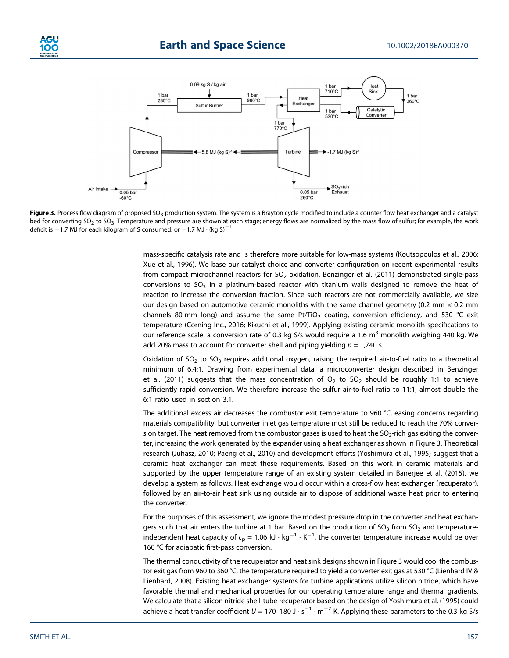



Figure 3. Process flow diagram of proposed SO<sub>3</sub> production system. The system is a Brayton cycle modified to include a counter flow heat exchanger and a catalyst bed for converting SO<sub>2</sub> to SO<sub>3</sub>. Temperature and pressure are shown at each stage; energy flows are normalized by the mass flow of sulfur; for example, the work deficit is  $-1.7$  MJ for each kilogram of S consumed, or  $-1.7$  MJ  $\cdot$  (kg S)<sup>-1</sup>. .

mass-specific catalysis rate and is therefore more suitable for low-mass systems (Koutsopoulos et al., 2006; Xue et al., 1996). We base our catalyst choice and converter configuration on recent experimental results from compact microchannel reactors for  $SO<sub>2</sub>$  oxidation. Benzinger et al. (2011) demonstrated single-pass conversions to  $SO_3$  in a platinum-based reactor with titanium walls designed to remove the heat of reaction to increase the conversion fraction. Since such reactors are not commercially available, we size our design based on automotive ceramic monoliths with the same channel geometry (0.2 mm  $\times$  0.2 mm channels 80-mm long) and assume the same Pt/TiO<sub>2</sub> coating, conversion efficiency, and 530 °C exit temperature (Corning Inc., 2016; Kikuchi et al., 1999). Applying existing ceramic monolith specifications to our reference scale, a conversion rate of 0.3 kg S/s would require a 1.6  $\text{m}^3$  monolith weighing 440 kg. We add 20% mass to account for converter shell and piping yielding  $p = 1,740$  s.

Oxidation of  $SO_2$  to  $SO_3$  requires additional oxygen, raising the required air-to-fuel ratio to a theoretical minimum of 6.4:1. Drawing from experimental data, a microconverter design described in Benzinger et al. (2011) suggests that the mass concentration of  $O_2$  to  $SO_2$  should be roughly 1:1 to achieve sufficiently rapid conversion. We therefore increase the sulfur air-to-fuel ratio to 11:1, almost double the 6:1 ratio used in section 3.1.

The additional excess air decreases the combustor exit temperature to 960 °C, easing concerns regarding materials compatibility, but converter inlet gas temperature must still be reduced to reach the 70% conversion target. The heat removed from the combustor gases is used to heat the  $SO<sub>3</sub>$ -rich gas exiting the converter, increasing the work generated by the expander using a heat exchanger as shown in Figure 3. Theoretical research (Juhasz, 2010; Paeng et al., 2010) and development efforts (Yoshimura et al., 1995) suggest that a ceramic heat exchanger can meet these requirements. Based on this work in ceramic materials and supported by the upper temperature range of an existing system detailed in Banerjee et al. (2015), we develop a system as follows. Heat exchange would occur within a cross-flow heat exchanger (recuperator), followed by an air-to-air heat sink using outside air to dispose of additional waste heat prior to entering the converter.

For the purposes of this assessment, we ignore the modest pressure drop in the converter and heat exchangers such that air enters the turbine at 1 bar. Based on the production of  $SO<sub>3</sub>$  from  $SO<sub>2</sub>$  and temperatureindependent heat capacity of  $\epsilon_{\rm p}$  = 1.06 kJ  $\cdot$  kg $^{-1}$   $\cdot$  K $^{-1}$ , the converter temperature increase would be over 160 °C for adiabatic first-pass conversion.

The thermal conductivity of the recuperator and heat sink designs shown in Figure 3 would cool the combustor exit gas from 960 to 360 °C, the temperature required to yield a converter exit gas at 530 °C (Lienhard IV & Lienhard, 2008). Existing heat exchanger systems for turbine applications utilize silicon nitride, which have favorable thermal and mechanical properties for our operating temperature range and thermal gradients. We calculate that a silicon nitride shell-tube recuperator based on the design of Yoshimura et al. (1995) could achieve a heat transfer coefficient  $U = 170-180$  J  $\cdot$  s<sup>-1</sup>  $\cdot$  m<sup>-2</sup> K. Applying these parameters to the 0.3 kg S/s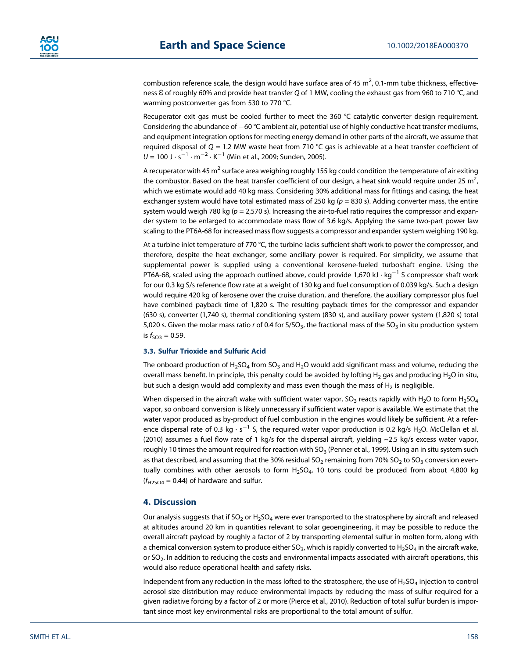combustion reference scale, the design would have surface area of 45  $\mathrm{m}^2$ , 0.1-mm tube thickness, effectiveness Ɛ of roughly 60% and provide heat transfer *Q* of 1 MW, cooling the exhaust gas from 960 to 710 °C, and warming postconverter gas from 530 to 770 °C.

Recuperator exit gas must be cooled further to meet the 360 °C catalytic converter design requirement. Considering the abundance of  $-60$  °C ambient air, potential use of highly conductive heat transfer mediums, and equipment integration options for meeting energy demand in other parts of the aircraft, we assume that required disposal of *Q* = 1.2 MW waste heat from 710 °C gas is achievable at a heat transfer coefficient of  $U = 100$  J  $\cdot$  s<sup>-1</sup>  $\cdot$  m<sup>-2</sup>  $\cdot$  K<sup>-1</sup> (Min et al., 2009; Sunden, 2005).

A recuperator with 45 m<sup>2</sup> surface area weighing roughly 155 kg could condition the temperature of air exiting the combustor. Based on the heat transfer coefficient of our design, a heat sink would require under 25  $m<sup>2</sup>$ , , which we estimate would add 40 kg mass. Considering 30% additional mass for fittings and casing, the heat exchanger system would have total estimated mass of 250 kg ( $p = 830$  s). Adding converter mass, the entire system would weigh 780 kg (*p* = 2,570 s). Increasing the air-to-fuel ratio requires the compressor and expander system to be enlarged to accommodate mass flow of 3.6 kg/s. Applying the same two-part power law scaling to the PT6A-68 for increased mass flow suggests a compressor and expander system weighing 190 kg.

At a turbine inlet temperature of 770 °C, the turbine lacks sufficient shaft work to power the compressor, and therefore, despite the heat exchanger, some ancillary power is required. For simplicity, we assume that supplemental power is supplied using a conventional kerosene-fueled turboshaft engine. Using the PT6A-68, scaled using the approach outlined above, could provide 1,670 kJ  $\cdot$  kg<sup>-1</sup> S compressor shaft work for our 0.3 kg S/s reference flow rate at a weight of 130 kg and fuel consumption of 0.039 kg/s. Such a design would require 420 kg of kerosene over the cruise duration, and therefore, the auxiliary compressor plus fuel have combined payback time of 1,820 s. The resulting payback times for the compressor and expander (630 s), converter (1,740 s), thermal conditioning system (830 s), and auxiliary power system (1,820 s) total 5,020 s. Given the molar mass ratio *r* of 0.4 for S/SO<sub>3</sub>, the fractional mass of the SO<sub>3</sub> in situ production system is  $f_{\text{SO3}} = 0.59$ .

#### **3.3. Sulfur Trioxide and Sulfuric Acid**

The onboard production of H<sub>2</sub>SO<sub>4</sub> from SO<sub>3</sub> and H<sub>2</sub>O would add significant mass and volume, reducing the overall mass benefit. In principle, this penalty could be avoided by lofting H<sub>2</sub> gas and producing H<sub>2</sub>O in situ, but such a design would add complexity and mass even though the mass of  $H<sub>2</sub>$  is negligible.

When dispersed in the aircraft wake with sufficient water vapor,  $SO_3$  reacts rapidly with H<sub>2</sub>O to form H<sub>2</sub>SO<sub>4</sub> vapor, so onboard conversion is likely unnecessary if sufficient water vapor is available. We estimate that the water vapor produced as by-product of fuel combustion in the engines would likely be sufficient. At a reference dispersal rate of 0.3 kg  $\cdot$  s<sup>-1</sup> S, the required water vapor production is 0.2 kg/s H<sub>2</sub>O. McClellan et al. (2010) assumes a fuel flow rate of 1 kg/s for the dispersal aircraft, yielding ~2.5 kg/s excess water vapor, roughly 10 times the amount required for reaction with SO<sub>3</sub> (Penner et al., 1999). Using an in situ system such as that described, and assuming that the 30% residual  $SO_2$  remaining from 70%  $SO_2$  to  $SO_3$  conversion eventually combines with other aerosols to form  $H_2SO_4$ , 10 tons could be produced from about 4,800 kg  $(f_{H2SO4} = 0.44)$  of hardware and sulfur.

#### **4. Discussion**

Our analysis suggests that if  $SO_2$  or  $H_2SO_4$  were ever transported to the stratosphere by aircraft and released at altitudes around 20 km in quantities relevant to solar geoengineering, it may be possible to reduce the overall aircraft payload by roughly a factor of 2 by transporting elemental sulfur in molten form, along with a chemical conversion system to produce either  $SO_3$ , which is rapidly converted to  $H_2SO_4$  in the aircraft wake, or SO<sub>2</sub>. In addition to reducing the costs and environmental impacts associated with aircraft operations, this would also reduce operational health and safety risks.

Independent from any reduction in the mass lofted to the stratosphere, the use of  $H_2SO_4$  injection to control aerosol size distribution may reduce environmental impacts by reducing the mass of sulfur required for a given radiative forcing by a factor of 2 or more (Pierce et al., 2010). Reduction of total sulfur burden is important since most key environmental risks are proportional to the total amount of sulfur.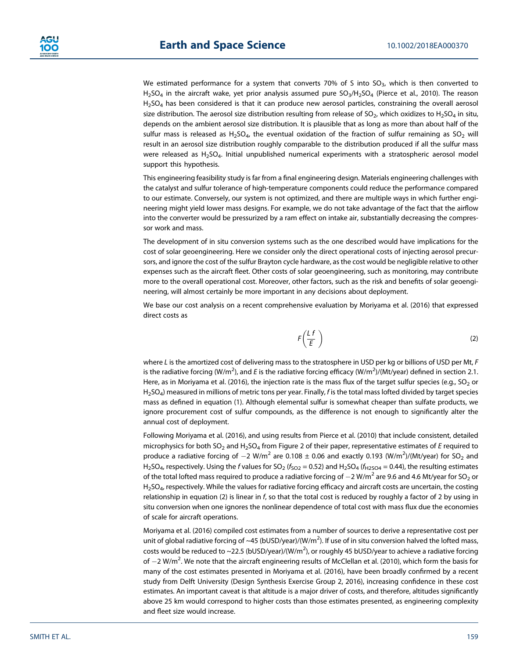We estimated performance for a system that converts 70% of S into  $SO<sub>3</sub>$ , which is then converted to  $H_2$ SO<sub>4</sub> in the aircraft wake, yet prior analysis assumed pure SO<sub>3</sub>/H<sub>2</sub>SO<sub>4</sub> (Pierce et al., 2010). The reason  $H<sub>2</sub>SO<sub>4</sub>$  has been considered is that it can produce new aerosol particles, constraining the overall aerosol size distribution. The aerosol size distribution resulting from release of SO<sub>2</sub>, which oxidizes to H<sub>2</sub>SO<sub>4</sub> in situ, depends on the ambient aerosol size distribution. It is plausible that as long as more than about half of the sulfur mass is released as  $H_2SO_4$ , the eventual oxidation of the fraction of sulfur remaining as  $SO_2$  will result in an aerosol size distribution roughly comparable to the distribution produced if all the sulfur mass were released as H<sub>2</sub>SO<sub>4</sub>. Initial unpublished numerical experiments with a stratospheric aerosol model support this hypothesis.

This engineering feasibility study is far from a final engineering design. Materials engineering challenges with the catalyst and sulfur tolerance of high-temperature components could reduce the performance compared to our estimate. Conversely, our system is not optimized, and there are multiple ways in which further engineering might yield lower mass designs. For example, we do not take advantage of the fact that the airflow into the converter would be pressurized by a ram effect on intake air, substantially decreasing the compressor work and mass.

The development of in situ conversion systems such as the one described would have implications for the cost of solar geoengineering. Here we consider only the direct operational costs of injecting aerosol precursors, and ignore the cost of the sulfur Brayton cycle hardware, as the cost would be negligible relative to other expenses such as the aircraft fleet. Other costs of solar geoengineering, such as monitoring, may contribute more to the overall operational cost. Moreover, other factors, such as the risk and benefits of solar geoengineering, will almost certainly be more important in any decisions about deployment.

We base our cost analysis on a recent comprehensive evaluation by Moriyama et al. (2016) that expressed direct costs as

$$
F\left(\frac{Lf}{E}\right) \tag{2}
$$

where *L* is the amortized cost of delivering mass to the stratosphere in USD per kg or billions of USD per Mt, *F* is the radiative forcing (W/m<sup>2</sup>), and *E* is the radiative forcing efficacy (W/m<sup>2</sup>)/(Mt/year) defined in section 2.1. Here, as in Moriyama et al. (2016), the injection rate is the mass flux of the target sulfur species (e.g.,  $SO_2$  or H2SO4) measured in millions of metric tons per year. Finally, *f* is the total mass lofted divided by target species mass as defined in equation (1). Although elemental sulfur is somewhat cheaper than sulfate products, we ignore procurement cost of sulfur compounds, as the difference is not enough to significantly alter the annual cost of deployment.

Following Moriyama et al. (2016), and using results from Pierce et al. (2010) that include consistent, detailed microphysics for both SO<sub>2</sub> and H<sub>2</sub>SO<sub>4</sub> from Figure 2 of their paper, representative estimates of *E* required to produce a radiative forcing of  $-2$  W/m<sup>2</sup> are 0.108  $\pm$  0.06 and exactly 0.193 (W/m<sup>2</sup>)/(Mt/year) for SO<sub>2</sub> and H<sub>2</sub>SO<sub>4</sub>, respectively. Using the *f* values for SO<sub>2</sub> ( $f_{SO2} = 0.52$ ) and H<sub>2</sub>SO<sub>4</sub> ( $f_{H2SO4} = 0.44$ ), the resulting estimates of the total lofted mass required to produce a radiative forcing of  $-2$  W/m<sup>2</sup> are 9.6 and 4.6 Mt/year for SO<sub>2</sub> or H<sub>2</sub>SO<sub>4</sub>, respectively. While the values for radiative forcing efficacy and aircraft costs are uncertain, the costing relationship in equation (2) is linear in *f*, so that the total cost is reduced by roughly a factor of 2 by using in situ conversion when one ignores the nonlinear dependence of total cost with mass flux due the economies of scale for aircraft operations.

Moriyama et al. (2016) compiled cost estimates from a number of sources to derive a representative cost per unit of global radiative forcing of ~45 (bUSD/year)/(W/m<sup>2</sup>). If use of in situ conversion halved the lofted mass, costs would be reduced to ~22.5 (bUSD/year)/(W/m<sup>2</sup>), or roughly 45 bUSD/year to achieve a radiative forcing of  $-2$  W/m<sup>2</sup>. We note that the aircraft engineering results of McClellan et al. (2010), which form the basis for many of the cost estimates presented in Moriyama et al. (2016), have been broadly confirmed by a recent study from Delft University (Design Synthesis Exercise Group 2, 2016), increasing confidence in these cost estimates. An important caveat is that altitude is a major driver of costs, and therefore, altitudes significantly above 25 km would correspond to higher costs than those estimates presented, as engineering complexity and fleet size would increase.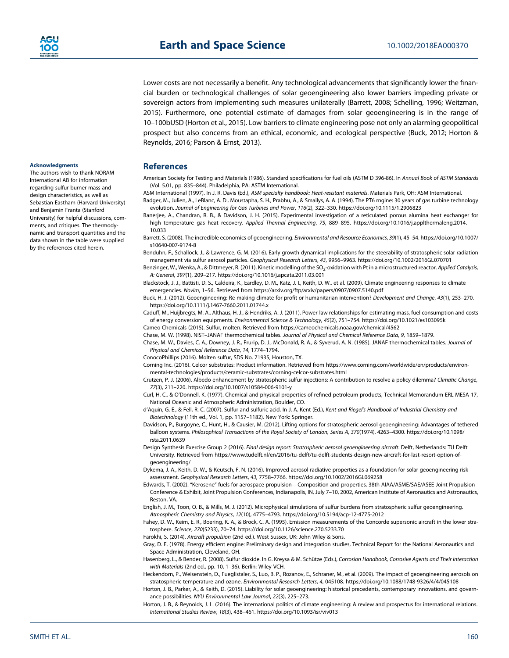Lower costs are not necessarily a benefit. Any technological advancements that significantly lower the financial burden or technological challenges of solar geoengineering also lower barriers impeding private or sovereign actors from implementing such measures unilaterally (Barrett, 2008; Schelling, 1996; Weitzman, 2015). Furthermore, one potential estimate of damages from solar geoengineering is in the range of 10–100bUSD (Horton et al., 2015). Low barriers to climate engineering pose not only an alarming geopolitical prospect but also concerns from an ethical, economic, and ecological perspective (Buck, 2012; Horton & Reynolds, 2016; Parson & Ernst, 2013).

### **References**

American Society for Testing and Materials (1986). Standard specifications for fuel oils (ASTM D 396-86). In *Annual Book of ASTM Standards* (Vol. 5.01, pp. 835–844). Philadelphia, PA: ASTM International.

ASM International (1997). In J. R. Davis (Ed.), *ASM specialty handbook: Heat-resistant materials*. Materials Park, OH: ASM International. Badger, M., Julien, A., LeBlanc, A. D., Moustapha, S. H., Prabhu, A., & Smailys, A. A. (1994). The PT6 rngine: 30 years of gas turbine technology evolution. *Journal of Engineering for Gas Turbines and Power*, *116*(2), 322–330.<https://doi.org/10.1115/1.2906823>

Banerjee, A., Chandran, R. B., & Davidson, J. H. (2015). Experimental investigation of a reticulated porous alumina heat exchanger for high temperature gas heat recovery. *Applied Thermal Engineering*, *75*, 889–895. [https://doi.org/10.1016/j.applthermaleng.2014.](https://doi.org/10.1016/j.applthermaleng.2014.10.033) [10.033](https://doi.org/10.1016/j.applthermaleng.2014.10.033)

Barrett, S. (2008). The incredible economics of geoengineering. *Environmental and Resource Economics*, *39*(1), 45–54. [https://doi.org/10.1007/](https://doi.org/10.1007/s10640-007-9174-8) [s10640-007-9174-8](https://doi.org/10.1007/s10640-007-9174-8)

Benduhn, F., Schallock, J., & Lawrence, G. M. (2016). Early growth dynamical implications for the steerability of stratospheric solar radiation management via sulfur aerosol particles. *Geophysical Research Letters*, *43*, 9956–9963.<https://doi.org/10.1002/2016GL070701>

Benzinger, W., Wenka, A., & Dittmeyer, R. (2011). Kinetic modelling of the SO<sub>2</sub>-oxidation with Pt in a microstructured reactor. *Applied Catalysis*, *A: General*, *397*(1), 209–217.<https://doi.org/10.1016/j.apcata.2011.03.001>

Blackstock, J. J., Battisti, D. S., Caldeira, K., Eardley, D. M., Katz, J. I., Keith, D. W., et al. (2009). Climate engineering responses to climate emergencies. *Novim*, 1–56. Retrieved from<https://arxiv.org/ftp/arxiv/papers/0907/0907.5140.pdf>

Buck, H. J. (2012). Geoengineering: Re-making climate for profit or humanitarian intervention? *Development and Change*, *43*(1), 253–270. <https://doi.org/10.1111/j.1467-7660.2011.01744.x>

Caduff, M., Huijbregts, M. A., Althaus, H. J., & Hendriks, A. J. (2011). Power-law relationships for estimating mass, fuel consumption and costs of energy conversion equipments. *Environmental Science & Technology*, *45*(2), 751–754.<https://doi.org/10.1021/es103095k>

Cameo Chemicals (2015). Sulfur, molten. Retrieved from<https://cameochemicals.noaa.gov/chemical/4562>

Chase, M. W. (1998). NIST–JANAF thermochemical tables. *Journal of Physical and Chemical Reference Data*, *9*, 1859–1879. Chase, M. W., Davies, C. A., Downey, J. R., Frurip, D. J., McDonald, R. A., & Syverud, A. N. (1985). JANAF thermochemical tables. *Journal of*

*Physical and Chemical Reference Data*, *14*, 1774–1794.

ConocoPhillips (2016). Molten sulfur, SDS No. 71935, Houston, TX.

Corning Inc. (2016). Celcor substrates: Product information. Retrieved from [https://www.corning.com/worldwide/en/products/environ](https://www.corning.com/worldwide/en/products/environmental-technologies/products/ceramic-substrates/corning-celcor-substrates.html)[mental-technologies/products/ceramic-substrates/corning-celcor-substrates.html](https://www.corning.com/worldwide/en/products/environmental-technologies/products/ceramic-substrates/corning-celcor-substrates.html)

Crutzen, P. J. (2006). Albedo enhancement by stratospheric sulfur injections: A contribution to resolve a policy dilemma? *Climatic Change*, *77*(3), 211–220.<https://doi.org/10.1007/s10584-006-9101-y>

Curl, H. C., & O'Donnell, K. (1977). Chemical and physical properties of refined petroleum products, Technical Memorandum ERL MESA-17, National Oceanic and Atmospheric Administration, Boulder, CO.

d'Aquin, G. E., & Fell, R. C. (2007). Sulfur and sulfuric acid. In J. A. Kent (Ed.), *Kent and Riegel's Handbook of Industrial Chemistry and Biotechnology* (11th ed., Vol. 1, pp. 1157–1182). New York: Springer.

Davidson, P., Burgoyne, C., Hunt, H., & Causier, M. (2012). Lifting options for stratospheric aerosol geoengineering: Advantages of tethered balloon systems. *Philosophical Transactions of the Royal Society of London, Series A*, *370*(1974), 4263–4300. [https://doi.org/10.1098/](https://doi.org/10.1098/rsta.2011.0639) [rsta.2011.0639](https://doi.org/10.1098/rsta.2011.0639)

Design Synthesis Exercise Group 2 (2016). *Final design report: Stratospheric aerosol geoengineering aircraft*. Delft, Netherlands: TU Delft University. Retrieved from [https://www.tudelft.nl/en/2016/tu-delft/tu-delft-students-design-new-aircraft-for-last-resort-option-of](https://www.tudelft.nl/en/2016/tu-delft/tu-delft-students-design-new-aircraft-for-last-resort-option-of-geoengineering/)[geoengineering/](https://www.tudelft.nl/en/2016/tu-delft/tu-delft-students-design-new-aircraft-for-last-resort-option-of-geoengineering/)

Dykema, J. A., Keith, D. W., & Keutsch, F. N. (2016). Improved aerosol radiative properties as a foundation for solar geoengineering risk assessment. *Geophysical Research Letters*, *43*, 7758–7766.<https://doi.org/10.1002/2016GL069258>

Edwards, T. (2002). "Kerosene" fuels for aerospace propulsion—Composition and properties. 38th AIAA/ASME/SAE/ASEE Joint Propulsion Conference & Exhibit, Joint Propulsion Conferences, Indianapolis, IN, July 7–10, 2002, American Institute of Aeronautics and Astronautics, Reston, VA.

English, J. M., Toon, O. B., & Mills, M. J. (2012). Microphysical simulations of sulfur burdens from stratospheric sulfur geoengineering. *Atmospheric Chemistry and Physics*, *12*(10), 4775–4793.<https://doi.org/10.5194/acp-12-4775-2012>

Fahey, D. W., Keim, E. R., Boering, K. A., & Brock, C. A. (1995). Emission measurements of the Concorde supersonic aircraft in the lower stratosphere. *Science*, *270*(5233), 70–74.<https://doi.org/10.1126/science.270.5233.70>

Farokhi, S. (2014). *Aircraft propulsion* (2nd ed.). West Sussex, UK: John Wiley & Sons.

Gray, D. E. (1978). Energy efficient engine: Preliminary design and integration studies, Technical Report for the National Aeronautics and Space Administration, Cleveland, OH.

Hasenberg, L., & Bender, R. (2008). Sulfur dioxide. In G. Kreysa & M. Schütze (Eds.), *Corrosion Handbook, Corrosive Agents and Their Interaction with Materials* (2nd ed., pp. 10, 1–36). Berlin: Wiley-VCH.

Heckendorn, P., Weisenstein, D., Fueglistaler, S., Luo, B. P., Rozanov, E., Schraner, M., et al. (2009). The impact of geoengineering aerosols on stratospheric temperature and ozone. *Environmental Research Letters*, *4*, 045108.<https://doi.org/10.1088/1748-9326/4/4/045108>

Horton, J. B., Parker, A., & Keith, D. (2015). Liability for solar geoengineering: historical precedents, contemporary innovations, and governance possibilities. *NYU Environmental Law Journal*, *22*(3), 225–273.

Horton, J. B., & Reynolds, J. L. (2016). The international politics of climate engineering: A review and prospectus for international relations. *International Studies Review*, *18*(3), 438–461.<https://doi.org/10.1093/isr/viv013>

#### **Acknowledgments**

The authors wish to thank NORAM International AB for information regarding sulfur burner mass and design characteristics, as well as Sebastian Eastham (Harvard University) and Benjamin Franta (Stanford University) for helpful discussions, comments, and critiques. The thermodynamic and transport quantities and the data shown in the table were supplied by the references cited herein.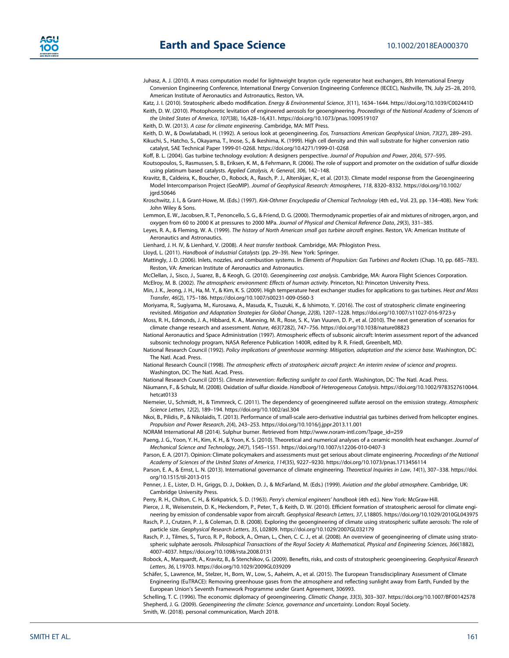Juhasz, A. J. (2010). A mass computation model for lightweight brayton cycle regenerator heat exchangers, 8th International Energy Conversion Engineering Conference, International Energy Conversion Engineering Conference (IECEC), Nashville, TN, July 25–28, 2010, American Institute of Aeronautics and Astronautics, Reston, VA.

Katz, J. I. (2010). Stratospheric albedo modification. *Energy & Environmental Science*, *3*(11), 1634–1644.<https://doi.org/10.1039/C002441D> Keith, D. W. (2010). Photophoretic levitation of engineered aerosols for geoengineering. *Proceedings of the National Academy of Sciences of the United States of America*, *107*(38), 16,428–16,431.<https://doi.org/10.1073/pnas.1009519107>

Keith, D. W. (2013). *A case for climate engineering*. Cambridge, MA: MIT Press.

Keith, D. W., & Dowlatabadi, H. (1992). A serious look at geoengineering. *Eos, Transactions American Geophysical Union*, *73*(27), 289–293.

Kikuchi, S., Hatcho, S., Okayama, T., Inose, S., & Ikeshima, K. (1999). High cell density and thin wall substrate for higher conversion ratio catalyst, SAE Technical Paper 1999-01-0268.<https://doi.org/10.4271/1999-01-0268>

Koff, B. L. (2004). Gas turbine technology evolution: A designers perspective. *Journal of Propulsion and Power*, *20*(4), 577–595.

- Koutsopoulos, S., Rasmussen, S. B., Eriksen, K. M., & Fehrmann, R. (2006). The role of support and promoter on the oxidation of sulfur dioxide using platinum based catalysts. *Applied Catalysis, A: General*, *306*, 142–148.
- Kravitz, B., Caldeira, K., Boucher, O., Robock, A., Rasch, P. J., Alterskjær, K., et al. (2013). Climate model response from the Geoengineering Model Intercomparison Project (GeoMIP). *Journal of Geophysical Research: Atmospheres*, *118*, 8320–8332. [https://doi.org/10.1002/](https://doi.org/10.1002/jgrd.50646) jard.50646

Kroschwitz, J. I., & Grant-Howe, M. (Eds.) (1997). *Kirk-Othmer Encyclopedia of Chemical Technology* (4th ed., Vol. 23, pp. 134–408). New York: John Wiley & Sons.

Lemmon, E. W., Jacobsen, R. T., Penoncello, S. G., & Friend, D. G. (2000). Thermodynamic properties of air and mixtures of nitrogen, argon, and oxygen from 60 to 2000 K at pressures to 2000 MPa. *Journal of Physical and Chemical Reference Data*, *29*(3), 331–385.

Leyes, R. A., & Fleming, W. A. (1999). *The history of North American small gas turbine aircraft engines*. Reston, VA: American Institute of Aeronautics and Astronautics.

Lienhard, J. H. IV, & Lienhard, V. (2008). *A heat transfer textbook*. Cambridge, MA: Phlogiston Press.

Lloyd, L. (2011). *Handbook of Industrial Catalysts* (pp. 29–39). New York: Springer.

Mattingly, J. D. (2006). Inlets, nozzles, and combustion systems. In *Elements of Propulsion: Gas Turbines and Rockets* (Chap. 10, pp. 685–783). Reston, VA: American Institute of Aeronautics and Astronautics.

McClellan, J., Sisco, J., Suarez, B., & Keogh, G. (2010). *Geoengineering cost analysis*. Cambridge, MA: Aurora Flight Sciences Corporation.

McElroy, M. B. (2002). *The atmospheric environment: Effects of human activity*. Princeton, NJ: Princeton University Press.

Min, J. K., Jeong, J. H., Ha, M. Y., & Kim, K. S. (2009). High temperature heat exchanger studies for applications to gas turbines. *Heat and Mass Transfer*, *46*(2), 175–186.<https://doi.org/10.1007/s00231-009-0560-3>

Moriyama, R., Sugiyama, M., Kurosawa, A., Masuda, K., Tsuzuki, K., & Ishimoto, Y. (2016). The cost of stratospheric climate engineering revisited. *Mitigation and Adaptation Strategies for Global Change*, *22*(8), 1207–1228.<https://doi.org/10.1007/s11027-016-9723-y>

Moss, R. H., Edmonds, J. A., Hibbard, K. A., Manning, M. R., Rose, S. K., Van Vuuren, D. P., et al. (2010). The next generation of scenarios for climate change research and assessment. *Nature*, *463*(7282), 747–756.<https://doi.org/10.1038/nature08823>

National Aeronautics and Space Administration (1997). Atmospheric effects of subsonic aircraft: Interim assessment report of the advanced subsonic technology program, NASA Reference Publication 1400R, edited by R. R. Friedl, Greenbelt, MD.

National Research Council (1992). *Policy implications of greenhouse warming: Mitigation, adaptation and the science base*. Washington, DC: The Natl. Acad. Press.

National Research Council (1998). *The atmospheric effects of stratospheric aircraft project: An interim review of science and progress*. Washington, DC: The Natl. Acad. Press.

National Research Council (2015). *Climate intervention: Reflecting sunlight to cool Earth*. Washington, DC: The Natl. Acad. Press.

Näumann, F., & Schulz, M. (2008). Oxidation of sulfur dioxide. *Handbook of Heterogeneous Catalysis*. [https://doi.org/10.1002/9783527610044.](https://doi.org/10.1002/9783527610044.hetcat0133) [hetcat0133](https://doi.org/10.1002/9783527610044.hetcat0133)

Niemeier, U., Schmidt, H., & Timmreck, C. (2011). The dependency of geoengineered sulfate aerosol on the emission strategy. *Atmospheric Science Letters*, *12*(2), 189–194.<https://doi.org/10.1002/asl.304>

Nkoi, B., Pilidis, P., & Nikolaidis, T. (2013). Performance of small-scale aero-derivative industrial gas turbines derived from helicopter engines. *Propulsion and Power Research*, *2*(4), 243–253.<https://doi.org/10.1016/j.jppr.2013.11.001>

NORAM International AB (2014). Sulphur burner. Retrieved from [http://www.noram-intl.com/?page\\_id=259](http://www.noram-intl.com/?page_id=259)

Paeng, J. G., Yoon, Y. H., Kim, K. H., & Yoon, K. S. (2010). Theoretical and numerical analyses of a ceramic monolith heat exchanger. *Journal of Mechanical Science and Technology*, *24*(7), 1545–1551.<https://doi.org/10.1007/s12206-010-0407-3>

Parson, E. A. (2017). Opinion: Climate policymakers and assessments must get serious about climate engineering. *Proceedings of the National Academy of Sciences of the United States of America*, *114*(35), 9227–9230.<https://doi.org/10.1073/pnas.1713456114>

Parson, E. A., & Ernst, L. N. (2013). International governance of climate engineering. *Theoretical Inquiries in Law*, *14*(1), 307–338. [https://doi.](https://doi.org/10.1515/til-2013-015) [org/10.1515/til-2013-015](https://doi.org/10.1515/til-2013-015)

Penner, J. E., Lister, D. H., Griggs, D. J., Dokken, D. J., & McFarland, M. (Eds.) (1999). *Aviation and the global atmosphere*. Cambridge, UK: Cambridge University Press.

Perry, R. H., Chilton, C. H., & Kirkpatrick, S. D. (1963). *Perry's chemical engineers' handbook* (4th ed.). New York: McGraw-Hill.

Pierce, J. R., Weisenstein, D. K., Heckendorn, P., Peter, T., & Keith, D. W. (2010). Efficient formation of stratospheric aerosol for climate engineering by emission of condensable vapor from aircraft. *Geophysical Research Letters*, *37*, L18805.<https://doi.org/10.1029/2010GL043975>

Rasch, P. J., Crutzen, P. J., & Coleman, D. B. (2008). Exploring the geoengineering of climate using stratospheric sulfate aerosols: The role of particle size. *Geophysical Research Letters*, *35*, L02809.<https://doi.org/10.1029/2007GL032179>

Rasch, P. J., Tilmes, S., Turco, R. P., Robock, A., Oman, L., Chen, C. C. J., et al. (2008). An overview of geoengineering of climate using stratospheric sulphate aerosols. *Philosophical Transactions of the Royal Society A: Mathematical, Physical and Engineering Sciences*, *366*(1882), 4007–4037.<https://doi.org/10.1098/rsta.2008.0131>

Robock, A., Marquardt, A., Kravitz, B., & Stenchikov, G. (2009). Benefits, risks, and costs of stratospheric geoengineering. *Geophysical Research Letters*, *36*, L19703.<https://doi.org/10.1029/2009GL039209>

Schäfer, S., Lawrence, M., Stelzer, H., Born, W., Low, S., Aaheim, A., et al. (2015). The European Transdisciplinary Assessment of Climate Engineering (EuTRACE): Removing greenhouse gases from the atmosphere and reflecting sunlight away from Earth, Funded by the European Union's Seventh Framework Programme under Grant Agreement, 306993.

Schelling, T. C. (1996). The economic diplomacy of geoengineering. *Climatic Change*, *33*(3), 303–307.<https://doi.org/10.1007/BF00142578> Shepherd, J. G. (2009). *Geoengineering the climate: Science, governance and uncertainty*. London: Royal Society. Smith, W. (2018). personal communication, March 2018.